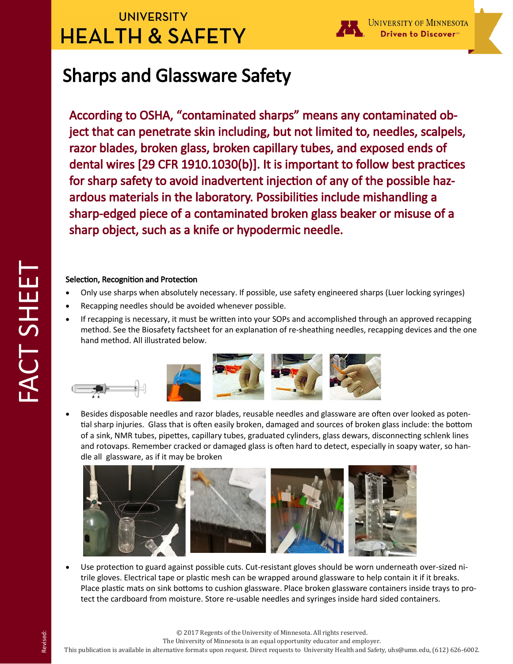## **UNIVERSITY HEALTH & SAFETY**



UNIVERSITY OF MINNESOTA Driven to Discover<sup>∞</sup>

# Sharps and Glassware Safety

According to OSHA, "contaminated sharps" means any contaminated object that can penetrate skin including, but not limited to, needles, scalpels, razor blades, broken glass, broken capillary tubes, and exposed ends of dental wires [29 CFR 1910.1030(b)]. It is important to follow best practices for sharp safety to avoid inadvertent injection of any of the possible hazardous materials in the laboratory. Possibilities include mishandling a sharp-edged piece of a contaminated broken glass beaker or misuse of a sharp object, such as a knife or hypodermic needle.

### Selection, Recognition and Protection

- Only use sharps when absolutely necessary. If possible, use safety engineered sharps (Luer locking syringes)
- Recapping needles should be avoided whenever possible.
- If recapping is necessary, it must be written into your SOPs and accomplished through an approved recapping method. See the Biosafety factsheet for an explanation of re-sheathing needles, recapping devices and the one hand method. All illustrated below.



 Besides disposable needles and razor blades, reusable needles and glassware are often over looked as potential sharp injuries. Glass that is often easily broken, damaged and sources of broken glass include: the bottom of a sink, NMR tubes, pipettes, capillary tubes, graduated cylinders, glass dewars, disconnecting schlenk lines and rotovaps. Remember cracked or damaged glass is often hard to detect, especially in soapy water, so handle all glassware, as if it may be broken



 Use protection to guard against possible cuts. Cut-resistant gloves should be worn underneath over-sized nitrile gloves. Electrical tape or plastic mesh can be wrapped around glassware to help contain it if it breaks. Place plastic mats on sink bottoms to cushion glassware. Place broken glassware containers inside trays to protect the cardboard from moisture. Store re-usable needles and syringes inside hard sided containers.

The University of Minnesota is an equal opportunity educator and employer.

This publication is available in alternative formats upon request. Direct requests to University Health and Safety, uhs@umn.edu, (612) 626-6002.